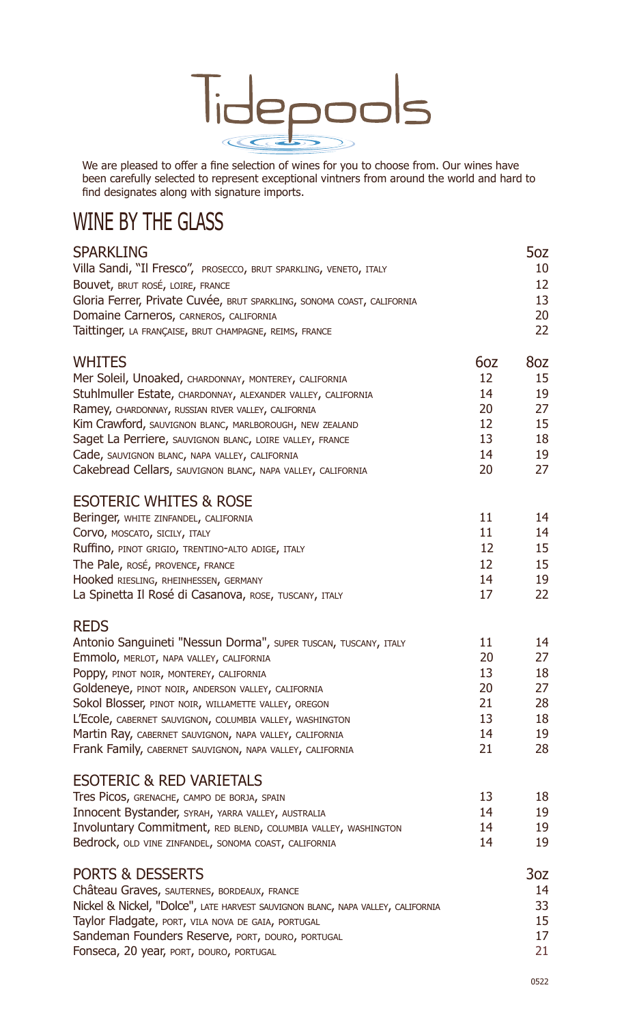

We are pleased to offer a fine selection of wines for you to choose from. Our wines have been carefully selected to represent exceptional vintners from around the world and hard to find designates along with signature imports.

# WINE BY THE GLASS

| <b>SPARKLING</b>                                                                |     | 5oz             |
|---------------------------------------------------------------------------------|-----|-----------------|
| Villa Sandi, "Il Fresco", PROSECCO, BRUT SPARKLING, VENETO, ITALY               |     | 10              |
| Bouvet, BRUT ROSÉ, LOIRE, FRANCE                                                |     | 12              |
| Gloria Ferrer, Private Cuvée, BRUT SPARKLING, SONOMA COAST, CALIFORNIA          |     | 13              |
| Domaine Carneros, CARNEROS, CALIFORNIA                                          |     | 20              |
| Taittinger, LA FRANÇAISE, BRUT CHAMPAGNE, REIMS, FRANCE                         |     | 22              |
| <b>WHITES</b>                                                                   | 6oz | 8oz             |
| Mer Soleil, Unoaked, CHARDONNAY, MONTEREY, CALIFORNIA                           | 12  | 15              |
| Stuhlmuller Estate, CHARDONNAY, ALEXANDER VALLEY, CALIFORNIA                    | 14  | 19              |
| Ramey, CHARDONNAY, RUSSIAN RIVER VALLEY, CALIFORNIA                             | 20  | 27              |
| Kim Crawford, SAUVIGNON BLANC, MARLBOROUGH, NEW ZEALAND                         | 12  | 15              |
| Saget La Perriere, SAUVIGNON BLANC, LOIRE VALLEY, FRANCE                        | 13  | 18              |
| Cade, SAUVIGNON BLANC, NAPA VALLEY, CALIFORNIA                                  | 14  | 19              |
| Cakebread Cellars, SAUVIGNON BLANC, NAPA VALLEY, CALIFORNIA                     | 20  | 27              |
| <b>ESOTERIC WHITES &amp; ROSE</b>                                               |     |                 |
| Beringer, WHITE ZINFANDEL, CALIFORNIA                                           | 11  | 14              |
| COrvo, MOSCATO, SICILY, ITALY                                                   | 11  | 14              |
| Ruffino, PINOT GRIGIO, TRENTINO-ALTO ADIGE, ITALY                               | 12  | 15              |
| The Pale, ROSÉ, PROVENCE, FRANCE                                                | 12  | 15              |
| Hooked RIESLING, RHEINHESSEN, GERMANY                                           | 14  | 19              |
| La Spinetta Il Rosé di Casanova, ROSE, TUSCANY, ITALY                           | 17  | 22              |
| <b>REDS</b>                                                                     |     |                 |
| Antonio Sanguineti "Nessun Dorma", SUPER TUSCAN, TUSCANY, ITALY                 | 11  | 14              |
| Emmolo, MERLOT, NAPA VALLEY, CALIFORNIA                                         | 20  | 27              |
| Poppy, PINOT NOIR, MONTEREY, CALIFORNIA                                         | 13  | 18              |
| Goldeneye, PINOT NOIR, ANDERSON VALLEY, CALIFORNIA                              | 20  | 27              |
| Sokol Blosser, PINOT NOIR, WILLAMETTE VALLEY, OREGON                            | 21  | 28              |
| L'Ecole, CABERNET SAUVIGNON, COLUMBIA VALLEY, WASHINGTON                        | 13  | 18              |
| Martin Ray, CABERNET SAUVIGNON, NAPA VALLEY, CALIFORNIA                         | 14  | 19              |
| Frank Family, CABERNET SAUVIGNON, NAPA VALLEY, CALIFORNIA                       | 21  | 28              |
|                                                                                 |     |                 |
| <b>ESOTERIC &amp; RED VARIETALS</b>                                             |     |                 |
| Tres Picos, GRENACHE, CAMPO DE BORJA, SPAIN                                     | 13  | 18              |
| Innocent Bystander, SYRAH, YARRA VALLEY, AUSTRALIA                              | 14  | 19              |
| Involuntary Commitment, RED BLEND, COLUMBIA VALLEY, WASHINGTON                  | 14  | 19              |
| Bedrock, OLD VINE ZINFANDEL, SONOMA COAST, CALIFORNIA                           | 14  | 19              |
| <b>PORTS &amp; DESSERTS</b>                                                     |     | 3 <sub>oz</sub> |
| Château Graves, SAUTERNES, BORDEAUX, FRANCE                                     |     | 14              |
| Nickel & Nickel, "Dolce", LATE HARVEST SAUVIGNON BLANC, NAPA VALLEY, CALIFORNIA |     | 33              |
| Taylor Fladgate, PORT, VILA NOVA DE GAIA, PORTUGAL                              |     | 15              |
| Sandeman Founders Reserve, PORT, DOURO, PORTUGAL                                |     | 17              |
| Fonseca, 20 year, PORT, DOURO, PORTUGAL                                         |     | 21              |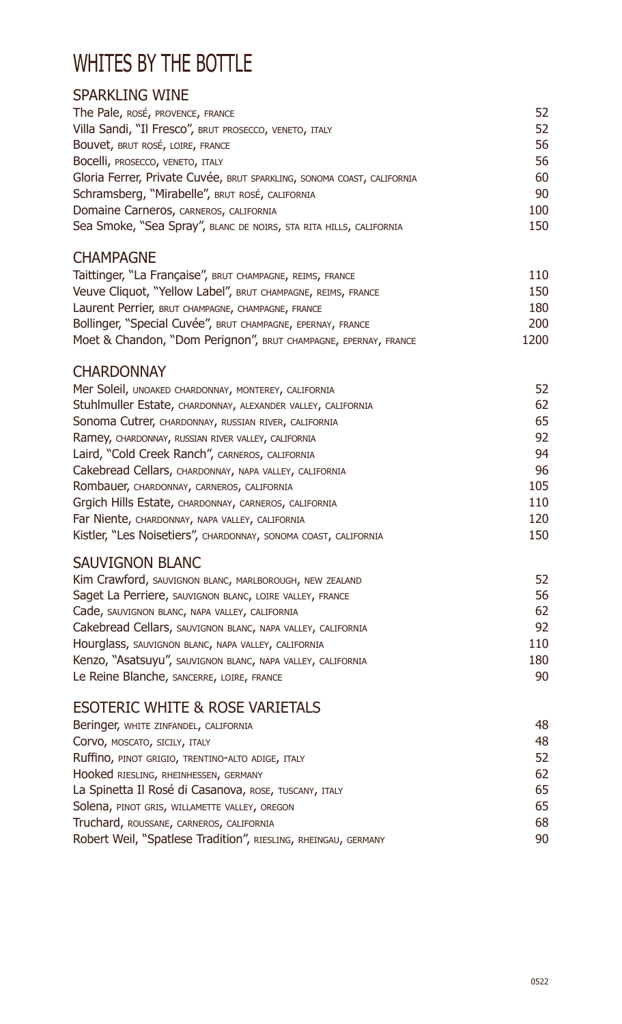## WHITES BY THE BOTTLE

### SPARKLING WINE

| The Pale, ROSÉ, PROVENCE, FRANCE                                       | 52  |
|------------------------------------------------------------------------|-----|
| Villa Sandi, "Il Fresco", BRUT PROSECCO, VENETO, ITALY                 | 52  |
| Bouvet, BRUT ROSÉ, LOIRE, FRANCE                                       | 56  |
| Bocelli, PROSECCO, VENETO, ITALY                                       | 56  |
| Gloria Ferrer, Private Cuvée, BRUT SPARKLING, SONOMA COAST, CALIFORNIA | 60  |
| Schramsberg, "Mirabelle", BRUT ROSÉ, CALIFORNIA                        | 90  |
| Domaine Carneros, CARNEROS, CALIFORNIA                                 | 100 |
| Sea Smoke, "Sea Spray", BLANC DE NOIRS, STA RITA HILLS, CALIFORNIA     | 150 |
|                                                                        |     |

### CHAMPAGNE

| Taittinger, "La Française", BRUT CHAMPAGNE, REIMS, FRANCE       | 110        |
|-----------------------------------------------------------------|------------|
| Veuve Cliquot, "Yellow Label", BRUT CHAMPAGNE, REIMS, FRANCE    | 150        |
| Laurent Perrier, BRUT CHAMPAGNE, CHAMPAGNE, FRANCE              | 180        |
| Bollinger, "Special Cuvée", BRUT CHAMPAGNE, EPERNAY, FRANCE     | <b>200</b> |
| Moet & Chandon, "Dom Perignon", BRUT CHAMPAGNE, EPERNAY, FRANCE | 1200       |

#### **CHARDONNAY**

| Mer Soleil, UNOAKED CHARDONNAY, MONTEREY, CALIFORNIA            | 52  |
|-----------------------------------------------------------------|-----|
| Stuhlmuller Estate, CHARDONNAY, ALEXANDER VALLEY, CALIFORNIA    | 62  |
| Sonoma Cutrer, CHARDONNAY, RUSSIAN RIVER, CALIFORNIA            | 65  |
| Ramey, CHARDONNAY, RUSSIAN RIVER VALLEY, CALIFORNIA             | 92  |
| Laird, "Cold Creek Ranch", CARNEROS, CALIFORNIA                 | 94  |
| Cakebread Cellars, CHARDONNAY, NAPA VALLEY, CALIFORNIA          | 96  |
| Rombauer, CHARDONNAY, CARNEROS, CALIFORNIA                      | 105 |
| Grgich Hills Estate, CHARDONNAY, CARNEROS, CALIFORNIA           | 110 |
| Far Niente, CHARDONNAY, NAPA VALLEY, CALIFORNIA                 | 120 |
| Kistler, "Les Noisetiers", CHARDONNAY, SONOMA COAST, CALIFORNIA | 150 |
|                                                                 |     |

### SAUVIGNON BLANC

| Kim Crawford, SAUVIGNON BLANC, MARLBOROUGH, NEW ZEALAND     | 52  |
|-------------------------------------------------------------|-----|
| Saget La Perriere, SAUVIGNON BLANC, LOIRE VALLEY, FRANCE    | 56  |
| Cade, SAUVIGNON BLANC, NAPA VALLEY, CALIFORNIA              | 62  |
| Cakebread Cellars, SAUVIGNON BLANC, NAPA VALLEY, CALIFORNIA | 92  |
| Hourglass, SAUVIGNON BLANC, NAPA VALLEY, CALIFORNIA         | 110 |
| Kenzo, "Asatsuyu", SAUVIGNON BLANC, NAPA VALLEY, CALIFORNIA | 180 |
| Le Reine Blanche, SANCERRE, LOIRE, FRANCE                   | 90  |

### ESOTERIC WHITE & ROSE VARIETALS

| Beringer, WHITE ZINFANDEL, CALIFORNIA                          | 48 |
|----------------------------------------------------------------|----|
| COrvo, MOSCATO, SICILY, ITALY                                  | 48 |
| Ruffino, PINOT GRIGIO, TRENTINO-ALTO ADIGE, ITALY              | 52 |
| Hooked RIESLING, RHEINHESSEN, GERMANY                          | 62 |
| La Spinetta Il Rosé di Casanova, ROSE, TUSCANY, ITALY          | 65 |
| Solena, PINOT GRIS, WILLAMETTE VALLEY, OREGON                  | 65 |
| Truchard, ROUSSANE, CARNEROS, CALIFORNIA                       | 68 |
| Robert Weil, "Spatlese Tradition", RIESLING, RHEINGAU, GERMANY | 90 |
|                                                                |    |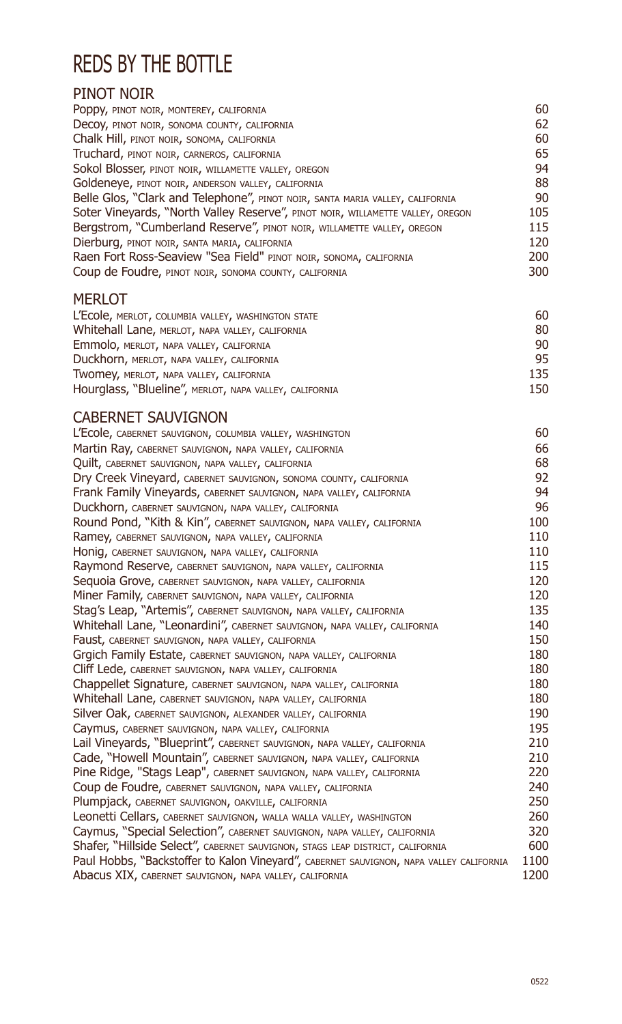## REDS BY THE BOTTLE

### PINOT NOIR

| PODDY, PINOT NOIR, MONTEREY, CALIFORNIA                                        | 60  |
|--------------------------------------------------------------------------------|-----|
| Decoy, PINOT NOIR, SONOMA COUNTY, CALIFORNIA                                   | 62  |
| Chalk Hill, PINOT NOIR, SONOMA, CALIFORNIA                                     | 60  |
| Truchard, PINOT NOIR, CARNEROS, CALIFORNIA                                     | 65  |
| Sokol Blosser, PINOT NOIR, WILLAMETTE VALLEY, OREGON                           | 94  |
| Goldeneye, PINOT NOIR, ANDERSON VALLEY, CALIFORNIA                             | 88  |
| Belle Glos, "Clark and Telephone", PINOT NOIR, SANTA MARIA VALLEY, CALIFORNIA  | 90  |
| Soter Vineyards, "North Valley Reserve", PINOT NOIR, WILLAMETTE VALLEY, OREGON | 105 |
| Bergstrom, "Cumberland Reserve", PINOT NOIR, WILLAMETTE VALLEY, OREGON         | 115 |
| Dierburg, PINOT NOIR, SANTA MARIA, CALIFORNIA                                  | 120 |
| Raen Fort Ross-Seaview "Sea Field" PINOT NOIR, SONOMA, CALIFORNIA              | 200 |
| Coup de Foudre, PINOT NOIR, SONOMA COUNTY, CALIFORNIA                          | 300 |
| <b>MERLOT</b>                                                                  |     |
| L'Ecole, MERLOT, COLUMBIA VALLEY, WASHINGTON STATE                             | 60  |
| Whitehall Lane, MERLOT, NAPA VALLEY, CALIFORNIA                                | 80  |
| Emmolo, MERLOT, NAPA VALLEY, CALIFORNIA                                        | 90  |
| Duckhorn, MERLOT, NAPA VALLEY, CALIFORNIA                                      | 95  |
| TWOMEY, MERLOT, NAPA VALLEY, CALIFORNIA                                        | 135 |

| <b>IWOHICY, MERLOT, NAPA VALLET, CALIFORNIA</b>        | ננב |
|--------------------------------------------------------|-----|
| Hourglass, "Blueline", MERLOT, NAPA VALLEY, CALIFORNIA | 150 |
|                                                        |     |

### CABERNET SAUVIGNON

| L'Ecole, CABERNET SAUVIGNON, COLUMBIA VALLEY, WASHINGTON                                | 60   |
|-----------------------------------------------------------------------------------------|------|
| Martin Ray, CABERNET SAUVIGNON, NAPA VALLEY, CALIFORNIA                                 | 66   |
| Quilt, CABERNET SAUVIGNON, NAPA VALLEY, CALIFORNIA                                      | 68   |
| Dry Creek Vineyard, CABERNET SAUVIGNON, SONOMA COUNTY, CALIFORNIA                       | 92   |
| Frank Family Vineyards, CABERNET SAUVIGNON, NAPA VALLEY, CALIFORNIA                     | 94   |
| Duckhorn, CABERNET SAUVIGNON, NAPA VALLEY, CALIFORNIA                                   | 96   |
| Round Pond, "Kith & Kin", CABERNET SAUVIGNON, NAPA VALLEY, CALIFORNIA                   | 100  |
| Ramey, CABERNET SAUVIGNON, NAPA VALLEY, CALIFORNIA                                      | 110  |
| Honig, CABERNET SAUVIGNON, NAPA VALLEY, CALIFORNIA                                      | 110  |
| Raymond Reserve, CABERNET SAUVIGNON, NAPA VALLEY, CALIFORNIA                            | 115  |
| Sequoia Grove, CABERNET SAUVIGNON, NAPA VALLEY, CALIFORNIA                              | 120  |
| Miner Family, CABERNET SAUVIGNON, NAPA VALLEY, CALIFORNIA                               | 120  |
| Stag's Leap, "Artemis", CABERNET SAUVIGNON, NAPA VALLEY, CALIFORNIA                     | 135  |
| Whitehall Lane, "Leonardini", CABERNET SAUVIGNON, NAPA VALLEY, CALIFORNIA               | 140  |
| Faust, CABERNET SAUVIGNON, NAPA VALLEY, CALIFORNIA                                      | 150  |
| Grgich Family Estate, CABERNET SAUVIGNON, NAPA VALLEY, CALIFORNIA                       | 180  |
| Cliff Lede, CABERNET SAUVIGNON, NAPA VALLEY, CALIFORNIA                                 | 180  |
| Chappellet Signature, CABERNET SAUVIGNON, NAPA VALLEY, CALIFORNIA                       | 180  |
| Whitehall Lane, CABERNET SAUVIGNON, NAPA VALLEY, CALIFORNIA                             | 180  |
| Silver Oak, CABERNET SAUVIGNON, ALEXANDER VALLEY, CALIFORNIA                            | 190  |
| Caymus, CABERNET SAUVIGNON, NAPA VALLEY, CALIFORNIA                                     | 195  |
| Lail Vineyards, "Blueprint", CABERNET SAUVIGNON, NAPA VALLEY, CALIFORNIA                | 210  |
| Cade, "Howell Mountain", CABERNET SAUVIGNON, NAPA VALLEY, CALIFORNIA                    | 210  |
| Pine Ridge, "Stags Leap", CABERNET SAUVIGNON, NAPA VALLEY, CALIFORNIA                   | 220  |
| Coup de Foudre, CABERNET SAUVIGNON, NAPA VALLEY, CALIFORNIA                             | 240  |
| Plumpjack, CABERNET SAUVIGNON, OAKVILLE, CALIFORNIA                                     | 250  |
| Leonetti Cellars, CABERNET SAUVIGNON, WALLA WALLA VALLEY, WASHINGTON                    | 260  |
| Caymus, "Special Selection", CABERNET SAUVIGNON, NAPA VALLEY, CALIFORNIA                | 320  |
| Shafer, "Hillside Select", CABERNET SAUVIGNON, STAGS LEAP DISTRICT, CALIFORNIA          | 600  |
| Paul Hobbs, "Backstoffer to Kalon Vineyard", CABERNET SAUVIGNON, NAPA VALLEY CALIFORNIA | 1100 |
| Abacus XIX, CABERNET SAUVIGNON, NAPA VALLEY, CALIFORNIA                                 | 1200 |
|                                                                                         |      |